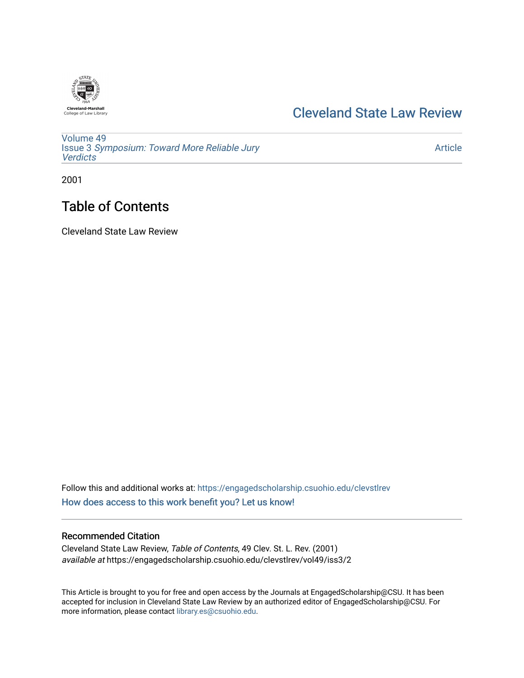

### [Cleveland State Law Review](https://engagedscholarship.csuohio.edu/clevstlrev)

[Volume 49](https://engagedscholarship.csuohio.edu/clevstlrev/vol49) Issue 3 [Symposium: Toward More Reliable Jury](https://engagedscholarship.csuohio.edu/clevstlrev/vol49/iss3)  **[Verdicts](https://engagedscholarship.csuohio.edu/clevstlrev/vol49/iss3)** 

[Article](https://engagedscholarship.csuohio.edu/clevstlrev/vol49/iss3/2) 

2001

## Table of Contents

Cleveland State Law Review

Follow this and additional works at: [https://engagedscholarship.csuohio.edu/clevstlrev](https://engagedscholarship.csuohio.edu/clevstlrev?utm_source=engagedscholarship.csuohio.edu%2Fclevstlrev%2Fvol49%2Fiss3%2F2&utm_medium=PDF&utm_campaign=PDFCoverPages) [How does access to this work benefit you? Let us know!](http://library.csuohio.edu/engaged/)

### Recommended Citation

Cleveland State Law Review, Table of Contents, 49 Clev. St. L. Rev. (2001) available at https://engagedscholarship.csuohio.edu/clevstlrev/vol49/iss3/2

This Article is brought to you for free and open access by the Journals at EngagedScholarship@CSU. It has been accepted for inclusion in Cleveland State Law Review by an authorized editor of EngagedScholarship@CSU. For more information, please contact [library.es@csuohio.edu](mailto:library.es@csuohio.edu).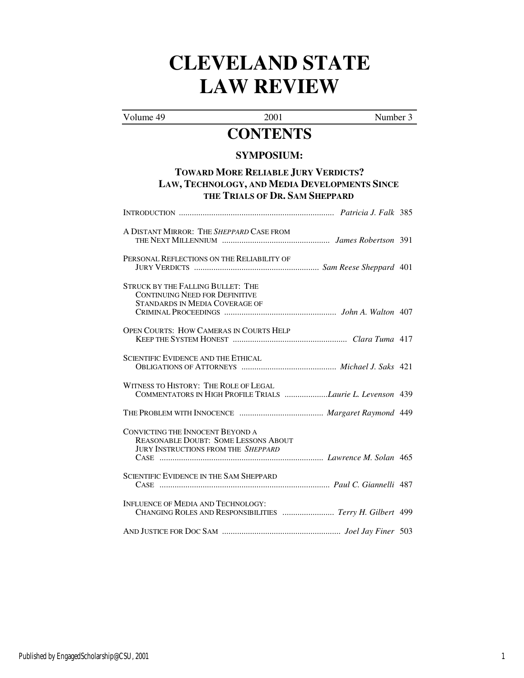# **CLEVELAND STATE LAW REVIEW**

Volume 49 2001 Number 3 **CONTENTS** 

| <b>SYMPOSIUM:</b><br><b>TOWARD MORE RELIABLE JURY VERDICTS?</b><br>LAW, TECHNOLOGY, AND MEDIA DEVELOPMENTS SINCE<br>THE TRIALS OF DR. SAM SHEPPARD |  |  |
|----------------------------------------------------------------------------------------------------------------------------------------------------|--|--|
|                                                                                                                                                    |  |  |
| A DISTANT MIRROR: THE SHEPPARD CASE FROM                                                                                                           |  |  |
| PERSONAL REFLECTIONS ON THE RELIABILITY OF                                                                                                         |  |  |
| <b>STRUCK BY THE FALLING BULLET: THE</b><br><b>CONTINUING NEED FOR DEFINITIVE</b><br><b>STANDARDS IN MEDIA COVERAGE OF</b>                         |  |  |
| <b>OPEN COURTS: HOW CAMERAS IN COURTS HELP</b>                                                                                                     |  |  |
| <b>SCIENTIFIC EVIDENCE AND THE ETHICAL</b>                                                                                                         |  |  |
| WITNESS TO HISTORY: THE ROLE OF LEGAL<br>COMMENTATORS IN HIGH PROFILE TRIALS Laurie L. Levenson 439                                                |  |  |
|                                                                                                                                                    |  |  |
| CONVICTING THE INNOCENT BEYOND A<br><b>REASONABLE DOUBT: SOME LESSONS ABOUT</b><br>JURY INSTRUCTIONS FROM THE SHEPPARD                             |  |  |
| <b>SCIENTIFIC EVIDENCE IN THE SAM SHEPPARD</b>                                                                                                     |  |  |
| INFLUENCE OF MEDIA AND TECHNOLOGY:<br>CHANGING ROLES AND RESPONSIBILITIES  Terry H. Gilbert 499                                                    |  |  |
|                                                                                                                                                    |  |  |